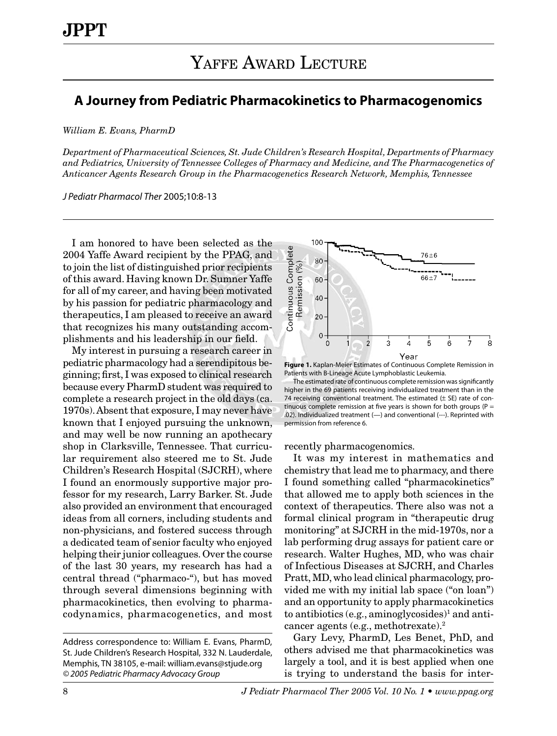## **A Journey from Pediatric Pharmacokinetics to Pharmacogenomics**

*William E. Evans, PharmD*

*Department of Pharmaceutical Sciences, St. Jude Children's Research Hospital, Departments of Pharmacy and Pediatrics, University of Tennessee Colleges of Pharmacy and Medicine, and The Pharmacogenetics of Anticancer Agents Research Group in the Pharmacogenetics Research Network, Memphis, Tennessee*

*J Pediatr Pharmacol Ther* 2005;10:8-13

I am honored to have been selected as the 2004 Yaffe Award recipient by the PPAG, and to join the list of distinguished prior recipients of this award. Having known Dr. Sumner Yaffe for all of my career, and having been motivated by his passion for pediatric pharmacology and therapeutics, I am pleased to receive an award that recognizes his many outstanding accomplishments and his leadership in our field.

My interest in pursuing a research career in pediatric pharmacology had a serendipitous beginning; first, I was exposed to clinical research because every PharmD student was required to complete a research project in the old days (ca. 1970s). Absent that exposure, I may never have known that I enjoyed pursuing the unknown, and may well be now running an apothecary shop in Clarksville, Tennessee. That curricular requirement also steered me to St. Jude Children's Research Hospital (SJCRH), where I found an enormously supportive major professor for my research, Larry Barker. St. Jude also provided an environment that encouraged ideas from all corners, including students and non-physicians, and fostered success through a dedicated team of senior faculty who enjoyed helping their junior colleagues. Over the course of the last 30 years, my research has had a central thread ("pharmaco-"), but has moved through several dimensions beginning with pharmacokinetics, then evolving to pharmacodynamics, pharmacogenetics, and most



**Figure 1.** Kaplan-Meier Estimates of Continuous Complete Remission in Patients with B-Lineage Acute Lymphoblastic Leukemia.

The estimated rate of continuous complete remission was significantly higher in the 69 patients receiving individualized treatment than in the 74 receiving conventional treatment. The estimated  $(\pm$  SE) rate of continuous complete remission at five years is shown for both groups ( $P =$ .02). Individualized treatment (—) and conventional (---). Reprinted with permission from reference 6.

recently pharmacogenomics.

It was my interest in mathematics and chemistry that lead me to pharmacy, and there I found something called "pharmacokinetics" that allowed me to apply both sciences in the context of therapeutics. There also was not a formal clinical program in "therapeutic drug monitoring" at SJCRH in the mid-1970s, nor a lab performing drug assays for patient care or research. Walter Hughes, MD, who was chair of Infectious Diseases at SJCRH, and Charles Pratt, MD, who lead clinical pharmacology, provided me with my initial lab space ("on loan") and an opportunity to apply pharmacokinetics to antibiotics (e.g., aminoglycosides)<sup>1</sup> and anticancer agents (e.g., methotrexate).2

Gary Levy, PharmD, Les Benet, PhD, and others advised me that pharmacokinetics was largely a tool, and it is best applied when one is trying to understand the basis for inter-

Address correspondence to: William E. Evans, PharmD, St. Jude Children's Research Hospital, 332 N. Lauderdale, Memphis, TN 38105, e-mail: william.evans@stjude.org *© 2005 Pediatric Pharmacy Advocacy Group*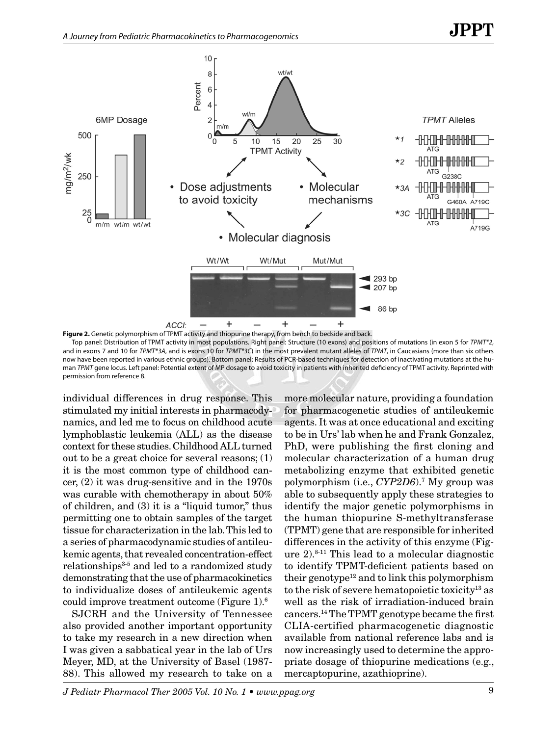

**Figure 2.** Genetic polymorphism of TPMT activity and thiopurine therapy, from bench to bedside and back. Top panel: Distribution of TPMT activity in most populations. Right panel: Structure (10 exons) and positions of mutations (in exon 5 for *TPMT\*2*, and in exons 7 and 10 for *TPMT\*3A*, and is exons 10 for *TPMT\*3C*) in the most prevalent mutant alleles of *TPMT*, in Caucasians (more than six others now have been reported in various ethnic groups). Bottom panel: Results of PCR-based techniques for detection of inactivating mutations at the human *TPMT* gene locus. Left panel: Potential extent of MP dosage to avoid toxicity in patients with inherited deficiency of TPMT activity. Reprinted with permission from reference 8.

individual differences in drug response. This stimulated my initial interests in pharmacodynamics, and led me to focus on childhood acute lymphoblastic leukemia (ALL) as the disease context for these studies. Childhood ALL turned out to be a great choice for several reasons; (1) it is the most common type of childhood cancer, (2) it was drug-sensitive and in the 1970s was curable with chemotherapy in about 50% of children, and (3) it is a "liquid tumor," thus permitting one to obtain samples of the target tissue for characterization in the lab. This led to a series of pharmacodynamic studies of antileukemic agents, that revealed concentration-effect relationships $3-5$  and led to a randomized study demonstrating that the use of pharmacokinetics to individualize doses of antileukemic agents could improve treatment outcome (Figure 1).6

SJCRH and the University of Tennessee also provided another important opportunity to take my research in a new direction when I was given a sabbatical year in the lab of Urs Meyer, MD, at the University of Basel (1987- 88). This allowed my research to take on a

more molecular nature, providing a foundation for pharmacogenetic studies of antileukemic agents. It was at once educational and exciting to be in Urs' lab when he and Frank Gonzalez, PhD, were publishing the first cloning and molecular characterization of a human drug metabolizing enzyme that exhibited genetic polymorphism (i.e., *CYP2D6*).7 My group was able to subsequently apply these strategies to identify the major genetic polymorphisms in the human thiopurine S-methyltransferase (TPMT) gene that are responsible for inherited differences in the activity of this enzyme (Figure 2).8-11 This lead to a molecular diagnostic to identify TPMT-deficient patients based on their genotype<sup>12</sup> and to link this polymorphism to the risk of severe hematopoietic toxicity<sup>13</sup> as well as the risk of irradiation-induced brain cancers.14 The TPMT genotype became the first CLIA-certified pharmacogenetic diagnostic available from national reference labs and is now increasingly used to determine the appropriate dosage of thiopurine medications (e.g., mercaptopurine, azathioprine).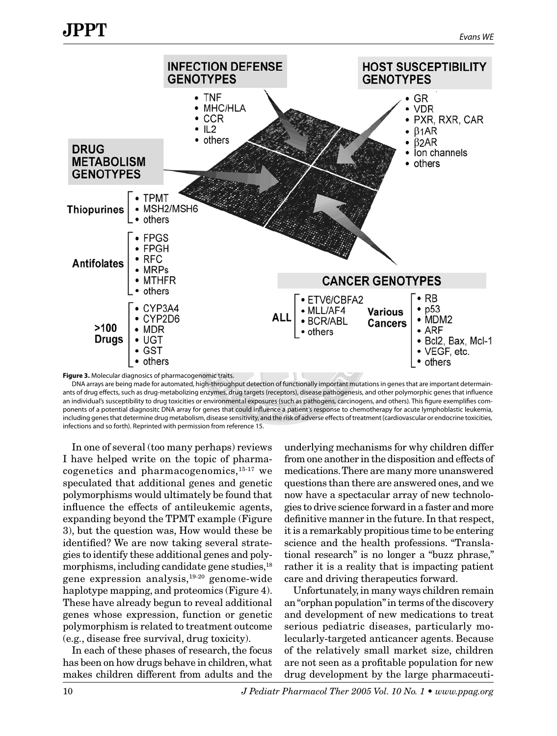

**Figure 3.** Molecular diagnosics of pharmacogenomic traits.

DNA arrays are being made for automated, high-throughput detection of functionally important mutations in genes that are important determainants of drug effects, such as drug-metabolizing enzymes, drug targets (receptors), disease pathogenesis, and other polymorphic genes that influence an individual's susceptibility to drug toxicities or environmental exposures (such as pathogens, carcinogens, and others). This figure exemplifies components of a potential diagnositc DNA array for genes that could influence a patient's response to chemotherapy for acute lymphoblastic leukemia, including genes that determine drug metabolism, disease sensitivity, and the risk of adverse effects of treatment (cardiovascular or endocrine toxicities, infections and so forth). Reprinted with permission from reference 15.

In one of several (too many perhaps) reviews I have helped write on the topic of pharmacogenetics and pharmacogenomics,  $15-17$  we speculated that additional genes and genetic polymorphisms would ultimately be found that influence the effects of antileukemic agents, expanding beyond the TPMT example (Figure 3), but the question was, How would these be identified? We are now taking several strategies to identify these additional genes and polymorphisms, including candidate gene studies, $^{18}$ gene expression analysis,19-20 genome-wide haplotype mapping, and proteomics (Figure 4). These have already begun to reveal additional genes whose expression, function or genetic polymorphism is related to treatment outcome (e.g., disease free survival, drug toxicity).

In each of these phases of research, the focus has been on how drugs behave in children, what makes children different from adults and the

underlying mechanisms for why children differ from one another in the disposition and effects of medications. There are many more unanswered questions than there are answered ones, and we now have a spectacular array of new technologies to drive science forward in a faster and more definitive manner in the future. In that respect, it is a remarkably propitious time to be entering science and the health professions. "Translational research" is no longer a "buzz phrase," rather it is a reality that is impacting patient care and driving therapeutics forward.

Unfortunately, in many ways children remain an "orphan population" in terms of the discovery and development of new medications to treat serious pediatric diseases, particularly molecularly-targeted anticancer agents. Because of the relatively small market size, children are not seen as a profitable population for new drug development by the large pharmaceuti-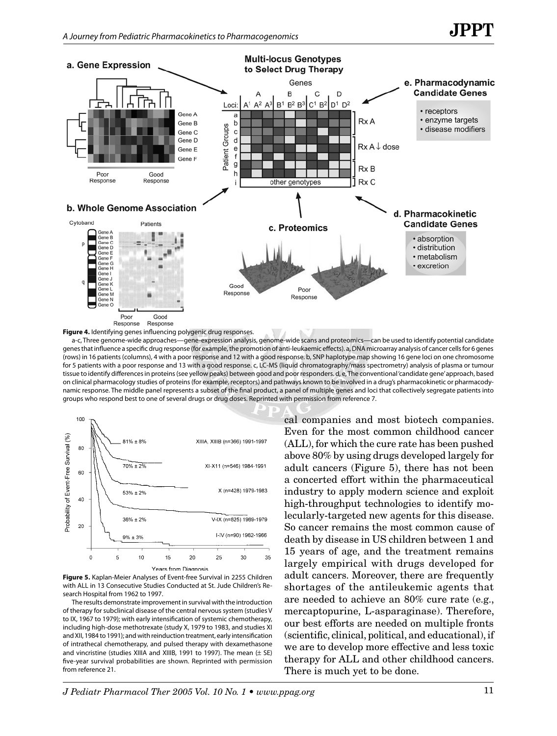

a-c, Three genome-wide approaches—gene-expression analysis, genome-wide scans and proteomics—can be used to identify potential candidate genes that influence a specific drug response (for example, the promotion of anti-leukaemic effects). a, DNA microarray analysis of cancer cells for 6 genes (rows) in 16 patients (columns), 4 with a poor response and 12 with a good response. b, SNP haplotype map showing 16 gene loci on one chromosome for 5 patients with a poor response and 13 with a good response. c, LC-MS (liquid chromatography/mass spectrometry) analysis of plasma or tumour tissue to identify differences in proteins (see yellow peaks) between good and poor responders. d, e, The conventional 'candidate gene' approach, based on clinical pharmacology studies of proteins (for example, receptors) and pathways known to be involved in a drug's pharmacokinetic or pharmacodynamic response. The middle panel represents a subset of the final product, a panel of multiple genes and loci that collectively segregate patients into groups who respond best to one of several drugs or drug doses. Reprinted with permission from reference 7.



**Figure 5.** Kaplan-Meier Analyses of Event-free Survival in 2255 Children with ALL in 13 Consecutive Studies Conducted at St. Jude Children's Research Hospital from 1962 to 1997.

The results demonstrate improvement in survival with the introduction of therapy for subclinical disease of the central nervous system (studies V to IX, 1967 to 1979); with early intensification of systemic chemotherapy, including high-dose methotrexate (study X, 1979 to 1983, and studies XI and XII, 1984 to 1991); and with reinduction treatment, early intensification of intrathecal chemotherapy, and pulsed therapy with dexamethasone and vincristine (studies XIIIA and XIIIB, 1991 to 1997). The mean  $(\pm$  SE) five-year survival probabilities are shown. Reprinted with permission from reference 21.

cal companies and most biotech companies. Even for the most common childhood cancer (ALL), for which the cure rate has been pushed above 80% by using drugs developed largely for adult cancers (Figure 5), there has not been a concerted effort within the pharmaceutical industry to apply modern science and exploit high-throughput technologies to identify molecularly-targeted new agents for this disease. So cancer remains the most common cause of death by disease in US children between 1 and 15 years of age, and the treatment remains largely empirical with drugs developed for adult cancers. Moreover, there are frequently shortages of the antileukemic agents that are needed to achieve an 80% cure rate (e.g., mercaptopurine, L-asparaginase). Therefore, our best efforts are needed on multiple fronts (scientific, clinical, political, and educational), if we are to develop more effective and less toxic therapy for ALL and other childhood cancers. There is much yet to be done.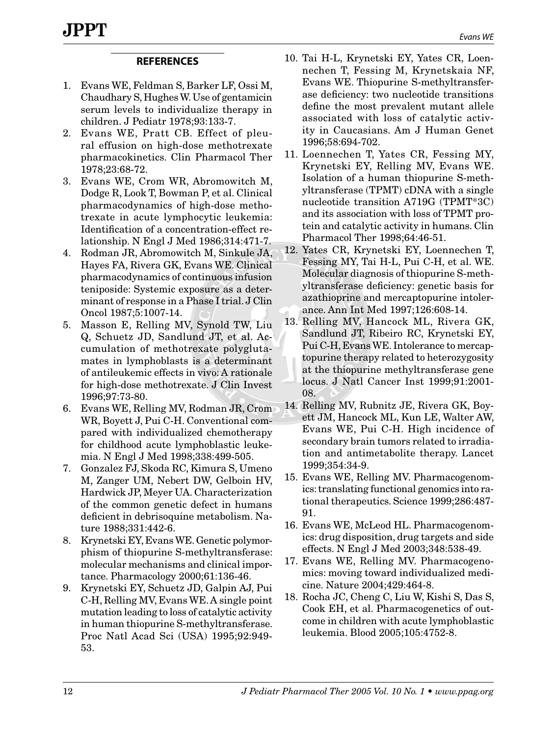## **REFERENCES**

- 1. Evans WE, Feldman S, Barker LF, Ossi M, Chaudhary S, Hughes W. Use of gentamicin serum levels to individualize therapy in children. J Pediatr 1978;93:133-7.
- 2. Evans WE, Pratt CB. Effect of pleural effusion on high-dose methotrexate pharmacokinetics. Clin Pharmacol Ther 1978;23:68‑72.
- 3. Evans WE, Crom WR, Abromowitch M, Dodge R, Look T, Bowman P, et al. Clinical pharmacodynamics of high-dose methotrexate in acute lymphocytic leukemia: Identification of a concentration-effect relationship. N Engl J Med 1986;314:471-7.
- 4. Rodman JR, Abromowitch M, Sinkule JA, Hayes FA, Rivera GK, Evans WE. Clinical pharmacodynamics of continuous infusion teniposide: Systemic exposure as a determinant of response in a Phase I trial. J Clin Oncol 1987;5:1007-14.
- 5. Masson E, Relling MV, Synold TW, Liu Q, Schuetz JD, Sandlund JT, et al. Accumulation of methotrexate polyglutamates in lymphoblasts is a determinant of antileukemic effects in vivo: A rationale for high-dose methotrexate. J Clin Invest 1996;97:73-80.
- 6. Evans WE, Relling MV, Rodman JR, Crom WR, Boyett J, Pui C-H. Conventional compared with individualized chemotherapy for childhood acute lymphoblastic leukemia. N Engl J Med 1998;338:499-505.
- 7. Gonzalez FJ, Skoda RC, Kimura S, Umeno M, Zanger UM, Nebert DW, Gelboin HV, Hardwick JP, Meyer UA. Characterization of the common genetic defect in humans deficient in debrisoquine metabolism. Nature 1988;331:442-6.
- 8. Krynetski EY, Evans WE. Genetic polymorphism of thiopurine S-methyltransferase: molecular mechanisms and clinical importance. Pharmacology 2000;61:136-46.
- 9. Krynetski EY, Schuetz JD, Galpin AJ, Pui C-H, Relling MV, Evans WE. A single point mutation leading to loss of catalytic activity in human thiopurine S-methyltransferase. Proc Natl Acad Sci (USA) 1995;92:949- 53.
- 10. Tai H-L, Krynetski EY, Yates CR, Loennechen T, Fessing M, Krynetskaia NF, Evans WE. Thiopurine S-methyltransferase deficiency: two nucleotide transitions define the most prevalent mutant allele associated with loss of catalytic activity in Caucasians. Am J Human Genet 1996;58:694-702.
- 11. Loennechen T, Yates CR, Fessing MY, Krynetski EY, Relling MV, Evans WE. Isolation of a human thiopurine S-methyltransferase (TPMT) cDNA with a single nucleotide transition A719G (TPMT\*3C) and its association with loss of TPMT protein and catalytic activity in humans. Clin Pharmacol Ther 1998;64:46-51.
- 12. Yates CR, Krynetski EY, Loennechen T, Fessing MY, Tai H-L, Pui C-H, et al. WE. Molecular diagnosis of thiopurine S-methyltransferase deficiency: genetic basis for azathioprine and mercaptopurine intolerance. Ann Int Med 1997;126:608-14.
- 13. Relling MV, Hancock ML, Rivera GK, Sandlund JT, Ribeiro RC, Krynetski EY, Pui C-H, Evans WE. Intolerance to mercaptopurine therapy related to heterozygosity at the thiopurine methyltransferase gene locus. J Natl Cancer Inst 1999;91:2001- 08.
- 14. Relling MV, Rubnitz JE, Rivera GK, Boyett JM, Hancock ML, Kun LE, Walter AW, Evans WE, Pui C-H. High incidence of secondary brain tumors related to irradiation and antimetabolite therapy. Lancet 1999;354:34-9.
- 15. Evans WE, Relling MV. Pharmacogenomics: translating functional genomics into rational therapeutics. Science 1999;286:487- 91.
- 16. Evans WE, McLeod HL. Pharmacogenomics: drug disposition, drug targets and side effects. N Engl J Med 2003;348:538-49.
- 17. Evans WE, Relling MV. Pharmacogenomics: moving toward individualized medicine. Nature 2004;429:464-8.
- 18. Rocha JC, Cheng C, Liu W, Kishi S, Das S, Cook EH, et al. Pharmacogenetics of outcome in children with acute lymphoblastic leukemia. Blood 2005;105:4752-8.